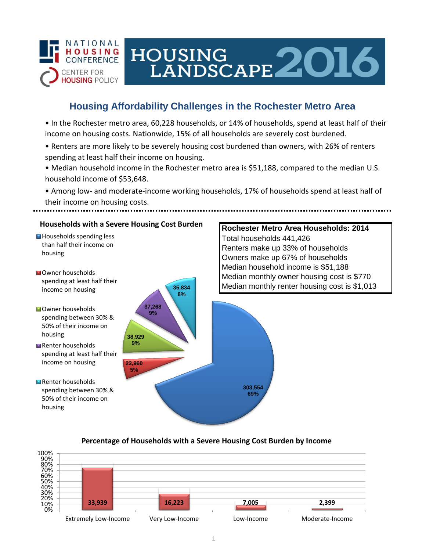

# HOUSING<br>LANDSCAPE 2016

# **Housing Affordability Challenges in the Rochester Metro Area**

• In the Rochester metro area, 60,228 households, or 14% of households, spend at least half of their income on housing costs. Nationwide, 15% of all households are severely cost burdened.

- Renters are more likely to be severely housing cost burdened than owners, with 26% of renters spending at least half their income on housing.
- Median household income in the Rochester metro area is \$51,188, compared to the median U.S. household income of \$53,648.
- Among low- and moderate-income working households, 17% of households spend at least half of their income on housing costs.

## **Households with a Severe Housing Cost Burden**

- Households spending less than half their income on housing
- **N**Owner households spending at least half their income on housing
- **Owner households** spending between 30% & 50% of their income on housing
- Renter households spending at least half their income on housing
- Renter households spending between 30% & 50% of their income on housing



## **Rochester Metro Area Households: 2014** Total households 441,426 Renters make up 33% of households Owners make up 67% of households Median household income is \$51,188 Median monthly owner housing cost is \$770 Median monthly renter housing cost is \$1,013

#### **Percentage of Households with a Severe Housing Cost Burden by Income**